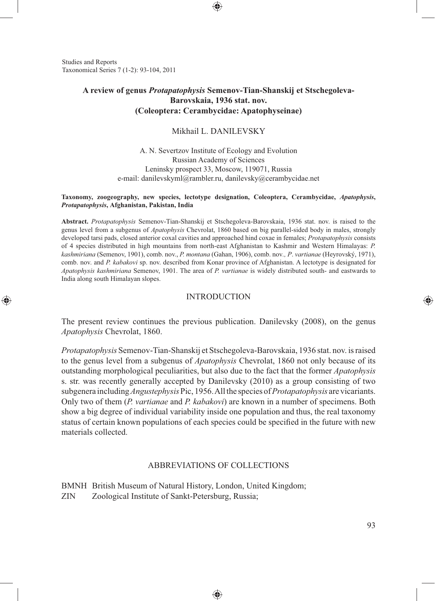Studies and Reports Taxonomical Series 7 (1-2): 93-104, 2011

⊕

# **A review of genus** *Protapatophysis* **Semenov-Tian-Shanskij et Stschegoleva-Barovskaia, 1936 stat. nov. (Coleoptera: Cerambycidae: Apatophyseinae)**

## Mikhail L. DANILEVSKY

A. N. Severtzov Institute of Ecology and Evolution Russian Academy of Sciences Leninsky prospect 33, Moscow, 119071, Russia e-mail: danilevskyml@rambler.ru, danilevsky@cerambycidae.net

### **Taxonomy, zoogeography, new species, lectotype designation, Coleoptera, Cerambycidae,** *Apatophysis***,**  *Protapatophysis***, Afghanistan, Pakistan, India**

**Abstract.** *Protapatophysis* Semenov-Tian-Shanskij et Stschegoleva-Barovskaia, 1936 stat. nov. is raised to the genus level from a subgenus of *Apatophysis* Chevrolat, 1860 based on big parallel-sided body in males, strongly developed tarsi pads, closed anterior coxal cavities and approached hind coxae in females; *Protapatophysis* consists of 4 species distributed in high mountains from north-east Afghanistan to Kashmir and Western Himalayas: *P. kashmiriana* (Semenov, 1901), comb. nov., *P. montana* (Gahan, 1906), comb. nov*., P*. *vartianae* (Heyrovský, 1971), comb. nov. and *P. kabakovi* sp. nov. described from Konar province of Afghanistan. A lectotype is designated for *Apatophysis kashmiriana* Semenov, 1901. The area of *P. vartianae* is widely distributed south- and eastwards to India along south Himalayan slopes.

### **INTRODUCTION**

The present review continues the previous publication. Danilevsky (2008), on the genus *Apatophysis* Chevrolat, 1860.

*Protapatophysis* Semenov-Tian-Shanskij et Stschegoleva-Barovskaia, 1936 stat. nov. is raised to the genus level from a subgenus of *Apatophysis* Chevrolat, 1860 not only because of its outstanding morphological peculiarities, but also due to the fact that the former *Apatophysis*  s. str. was recently generally accepted by Danilevsky (2010) as a group consisting of two subgenera including *Angustephysis* Pic, 1956. All the species of *Protapatophysis* are vicariants. Only two of them (*P. vartianae* and *P. kabakovi*) are known in a number of specimens. Both show a big degree of individual variability inside one population and thus, the real taxonomy status of certain known populations of each species could be specified in the future with new materials collected.

### ABBREVIATIONS OF COLLECTIONS

◈

BMNH British Museum of Natural History, London, United Kingdom; ZIN Zoological Institute of Sankt-Petersburg, Russia;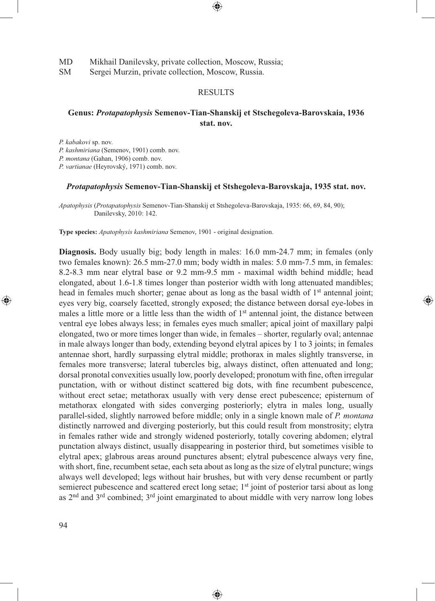- MD Mikhail Danilevsky, private collection, Moscow, Russia;
- SM Sergei Murzin, private collection, Moscow, Russia.

## RESULTS

⊕

# **Genus:** *Protapatophysis* **Semenov-Tian-Shanskij et Stschegoleva-Barovskaia, 1936 stat. nov.**

*P. kabakovi* sp. nov.

*P. kashmiriana* (Semenov, 1901) comb. nov.

*P. montana* (Gahan, 1906) comb. nov.

*P. vartianae* (Heyrovský, 1971) comb. nov.

#### *Protapatophysis* **Semenov-Tian-Shanskij et Stshegoleva-Barovskaja, 1935 stat. nov.**

*Apatophysis* (*Protapatophysis* Semenov-Tian-Shanskij et Stshegoleva-Barovskaja, 1935: 66, 69, 84, 90); Danilevsky, 2010: 142.

**Type species:** *Apatophysis kashmiriana* Semenov, 1901 - original designation.

**Diagnosis.** Body usually big; body length in males: 16.0 mm-24.7 mm; in females (only two females known): 26.5 mm-27.0 mm; body width in males: 5.0 mm-7.5 mm, in females: 8.2-8.3 mm near elytral base or 9.2 mm-9.5 mm - maximal width behind middle; head elongated, about 1.6-1.8 times longer than posterior width with long attenuated mandibles; head in females much shorter; genae about as long as the basal width of 1<sup>st</sup> antennal joint; eyes very big, coarsely facetted, strongly exposed; the distance between dorsal eye-lobes in males a little more or a little less than the width of 1<sup>st</sup> antennal joint, the distance between ventral eye lobes always less; in females eyes much smaller; apical joint of maxillary palpi elongated, two or more times longer than wide, in females – shorter, regularly oval; antennae in male always longer than body, extending beyond elytral apices by 1 to 3 joints; in females antennae short, hardly surpassing elytral middle; prothorax in males slightly transverse, in females more transverse; lateral tubercles big, always distinct, often attenuated and long; dorsal pronotal convexities usually low, poorly developed; pronotum with fine, often irregular punctation, with or without distinct scattered big dots, with fine recumbent pubescence, without erect setae; metathorax usually with very dense erect pubescence; episternum of metathorax elongated with sides converging posteriorly; elytra in males long, usually parallel-sided, slightly narrowed before middle; only in a single known male of *P. montana* distinctly narrowed and diverging posteriorly, but this could result from monstrosity; elytra in females rather wide and strongly widened posteriorly, totally covering abdomen; elytral punctation always distinct, usually disappearing in posterior third, but sometimes visible to elytral apex; glabrous areas around punctures absent; elytral pubescence always very fine, with short, fine, recumbent setae, each seta about as long as the size of elytral puncture; wings always well developed; legs without hair brushes, but with very dense recumbent or partly semierect pubescence and scattered erect long setae; 1<sup>st</sup> joint of posterior tarsi about as long as  $2<sup>nd</sup>$  and  $3<sup>rd</sup>$  combined;  $3<sup>rd</sup>$  joint emarginated to about middle with very narrow long lobes

◈

⊕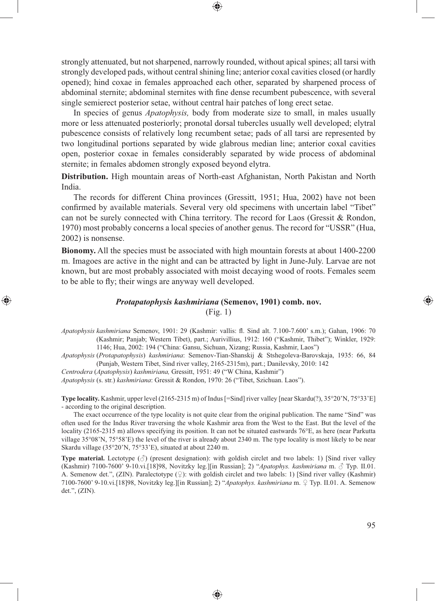strongly attenuated, but not sharpened, narrowly rounded, without apical spines; all tarsi with strongly developed pads, without central shining line; anterior coxal cavities closed (or hardly opened); hind coxae in females approached each other, separated by sharpened process of abdominal sternite; abdominal sternites with fine dense recumbent pubescence, with several single semierect posterior setae, without central hair patches of long erect setae.

In species of genus *Apatophysis,* body from moderate size to small, in males usually more or less attenuated posteriorly; pronotal dorsal tubercles usually well developed; elytral pubescence consists of relatively long recumbent setae; pads of all tarsi are represented by two longitudinal portions separated by wide glabrous median line; anterior coxal cavities open, posterior coxae in females considerably separated by wide process of abdominal sternite; in females abdomen strongly exposed beyond elytra.

**Distribution.** High mountain areas of North-east Afghanistan, North Pakistan and North India.

The records for different China provinces (Gressitt, 1951; Hua, 2002) have not been confirmed by available materials. Several very old specimens with uncertain label "Tibet" can not be surely connected with China territory. The record for Laos (Gressit & Rondon, 1970) most probably concerns a local species of another genus. The record for "USSR" (Hua, 2002) is nonsense.

**Bionomy.** All the species must be associated with high mountain forests at about 1400-2200 m. Imagoes are active in the night and can be attracted by light in June-July. Larvae are not known, but are most probably associated with moist decaying wood of roots. Females seem to be able to fly; their wings are anyway well developed.

# *Protapatophysis kashmiriana* **(Semenov, 1901) comb. nov.**  (Fig. 1)

*Apatophysis kashmiriana* Semenov, 1901: 29 (Kashmir: vallis: fl . Sind alt. 7.100-7.600' s.m.); Gahan, 1906: 70 (Kashmir; Panjab; Western Tibet), part.; Aurivillius, 1912: 160 ("Kashmir, Thibet"); Winkler, 1929: 1146; Hua, 2002: 194 ("China: Gansu, Sichuan, Xizang; Russia, Kashmir, Laos")

*Apatophysis* (*Protapatophysis*) *kashmiriana*: Semenov-Tian-Shanskij & Stshegoleva-Barovskaja, 1935: 66, 84 (Punjab, Western Tibet, Sind river valley, 2165-2315m), part.; Danilevsky, 2010: 142

*Centrodera* (*Apatophysis*) *kashmiriana,* Gressitt, 1951: 49 ("W China, Kashmir") *Apatophysis* (s. str.) *kashmiriana*: Gressit & Rondon, 1970: 26 ("Tibet, Szichuan. Laos").

⊕

**Type locality.** Kashmir, upper level (2165-2315 m) of Indus [=Sind] river valley [near Skardu(?), 35°20'N, 75°33'E] - according to the original description.

The exact occurrence of the type locality is not quite clear from the original publication. The name "Sind" was often used for the Indus River traversing the whole Kashmir area from the West to the East. But the level of the locality (2165-2315 m) allows specifying its position. It can not be situated eastwards 76°E, as here (near Parkutta village 35°08'N, 75°58'E) the level of the river is already about 2340 m. The type locality is most likely to be near Skardu village (35°20'N, 75°33'E), situated at about 2240 m.

**Type material.** Lectotype (♂) (present designation): with goldish circlet and two labels: 1) [Sind river valley (Kashmir) 7100-7600' 9-10.vi.[18]98, Novitzky leg.][in Russian]; 2) "*Apatophys. kashmiriana* m. ♂ Typ. II.01. A. Semenow det.", (ZIN). Paralectotype  $(\circled{)}$ : with goldish circlet and two labels: 1) [Sind river valley (Kashmir) 7100-7600' 9-10.vi.[18]98, Novitzky leg.][in Russian]; 2) "*Apatophys. kashmiriana* m. ♀ Typ. II.01. A. Semenow det.", (ZIN).

⊕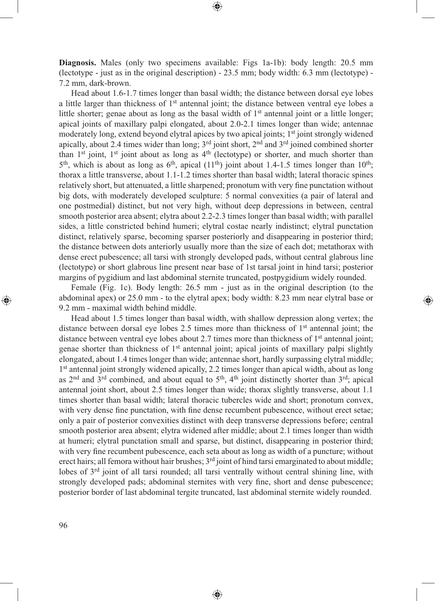**Diagnosis.** Males (only two specimens available: Figs 1a-1b): body length: 20.5 mm (lectotype - just as in the original description) - 23.5 mm; body width: 6.3 mm (lectotype) -7.2 mm, dark-brown.

 $\textcolor{red}{\textcircled{\footnotesize{1}}\ }$ 

Head about 1.6-1.7 times longer than basal width; the distance between dorsal eye lobes a little larger than thickness of  $1<sup>st</sup>$  antennal joint; the distance between ventral eye lobes a little shorter; genae about as long as the basal width of  $1<sup>st</sup>$  antennal joint or a little longer; apical joints of maxillary palpi elongated, about 2.0-2.1 times longer than wide; antennae moderately long, extend beyond elytral apices by two apical joints; 1<sup>st</sup> joint strongly widened apically, about 2.4 times wider than long;  $3<sup>rd</sup>$  joint short,  $2<sup>nd</sup>$  and  $3<sup>rd</sup>$  joined combined shorter than  $1<sup>st</sup>$  joint,  $1<sup>st</sup>$  joint about as long as  $4<sup>th</sup>$  (lectotype) or shorter, and much shorter than  $5<sup>th</sup>$ , which is about as long as  $6<sup>th</sup>$ , apical (11<sup>th</sup>) joint about 1.4-1.5 times longer than 10<sup>th</sup>; thorax a little transverse, about 1.1-1.2 times shorter than basal width; lateral thoracic spines relatively short, but attenuated, a little sharpened; pronotum with very fine punctation without big dots, with moderately developed sculpture: 5 normal convexities (a pair of lateral and one postmedial) distinct, but not very high, without deep depressions in between, central smooth posterior area absent; elytra about 2.2-2.3 times longer than basal width; with parallel sides, a little constricted behind humeri; elytral costae nearly indistinct; elytral punctation distinct, relatively sparse, becoming sparser posteriorly and disappearing in posterior third; the distance between dots anteriorly usually more than the size of each dot; metathorax with dense erect pubescence; all tarsi with strongly developed pads, without central glabrous line (lectotype) or short glabrous line present near base of 1st tarsal joint in hind tarsi; posterior margins of pygidium and last abdominal sternite truncated, postpygidium widely rounded.

Female (Fig. 1c). Body length: 26.5 mm - just as in the original description (to the abdominal apex) or 25.0 mm - to the elytral apex; body width: 8.23 mm near elytral base or 9.2 mm - maximal width behind middle.

⊕

Head about 1.5 times longer than basal width, with shallow depression along vertex; the distance between dorsal eye lobes 2.5 times more than thickness of 1<sup>st</sup> antennal joint; the distance between ventral eye lobes about 2.7 times more than thickness of 1<sup>st</sup> antennal joint; genae shorter than thickness of  $1<sup>st</sup>$  antennal joint; apical joints of maxillary palpi slightly elongated, about 1.4 times longer than wide; antennae short, hardly surpassing elytral middle; 1st antennal joint strongly widened apically, 2.2 times longer than apical width, about as long as  $2<sup>nd</sup>$  and  $3<sup>rd</sup>$  combined, and about equal to  $5<sup>th</sup>$ ,  $4<sup>th</sup>$  joint distinctly shorter than  $3<sup>rd</sup>$ ; apical antennal joint short, about 2.5 times longer than wide; thorax slightly transverse, about 1.1 times shorter than basal width; lateral thoracic tubercles wide and short; pronotum convex, with very dense fine punctation, with fine dense recumbent pubescence, without erect setae; only a pair of posterior convexities distinct with deep transverse depressions before; central smooth posterior area absent; elytra widened after middle; about 2.1 times longer than width at humeri; elytral punctation small and sparse, but distinct, disappearing in posterior third; with very fine recumbent pubescence, each seta about as long as width of a puncture; without erect hairs; all femora without hair brushes; 3<sup>rd</sup> joint of hind tarsi emarginated to about middle; lobes of  $3<sup>rd</sup>$  joint of all tarsi rounded; all tarsi ventrally without central shining line, with strongly developed pads; abdominal sternites with very fine, short and dense pubescence; posterior border of last abdominal tergite truncated, last abdominal sternite widely rounded.

◈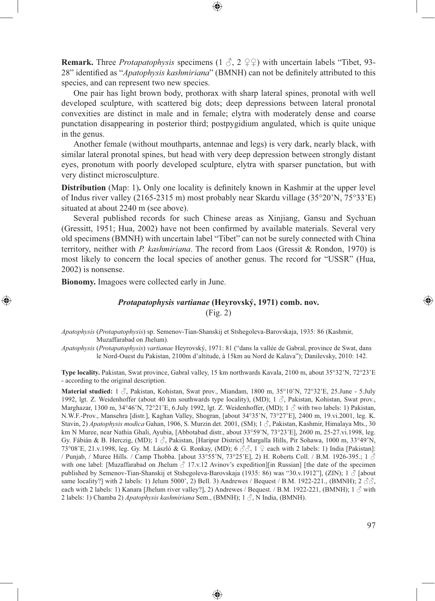**Remark.** Three *Protapatophysis* specimens (1  $\Im$ , 2  $\Im$ ) with uncertain labels "Tibet, 93-28" identified as "*Apatophysis kashmiriana*" (BMNH) can not be definitely attributed to this species, and can represent two new species.

One pair has light brown body, prothorax with sharp lateral spines, pronotal with well developed sculpture, with scattered big dots; deep depressions between lateral pronotal convexities are distinct in male and in female; elytra with moderately dense and coarse punctation disappearing in posterior third; postpygidium angulated, which is quite unique in the genus.

Another female (without mouthparts, antennae and legs) is very dark, nearly black, with similar lateral pronotal spines, but head with very deep depression between strongly distant eyes, pronotum with poorly developed sculpture, elytra with sparser punctation, but with very distinct microsculpture.

**Distribution** (Map: 1). Only one locality is definitely known in Kashmir at the upper level of Indus river valley (2165-2315 m) most probably near Skardu village (35°20'N, 75°33'E) situated at about 2240 m (see above).

Several published records for such Chinese areas as Xinjiang, Gansu and Sychuan (Gressitt, 1951; Hua, 2002) have not been confirmed by available materials. Several very old specimens (BMNH) with uncertain label "Tibet" can not be surely connected with China territory, neither with *P. kashmiriana*. The record from Laos (Gressit & Rondon, 1970) is most likely to concern the local species of another genus. The record for "USSR" (Hua, 2002) is nonsense.

**Bionomy.** Imagoes were collected early in June.

⊕

## *Protapatophysis vartianae* **(Heyrovský, 1971) comb. nov.** (Fig. 2)

*Apatophysis* (*Protapatophysis*) sp. Semenov-Tian-Shanskij et Stshegoleva-Barovskaja, 1935: 86 (Kashmir, Muzaffarabad on Jhelum).

*Apatophysis* (*Protapatophysis*) *vartianae* Heyrovský, 1971: 81 ("dans la vallée de Gabral, province de Swat, dans le Nord-Ouest du Pakistan, 2100m d'altitude, à 15km au Nord de Kalava"); Danilevsky, 2010: 142.

**Type locality.** Pakistan, Swat province, Gabral valley, 15 km northwards Kavala, 2100 m, about 35°32'N, 72°23'E - according to the original description.

**Material studied:** 1 ♂, Pakistan, Kohistan, Swat prov., Miandam, 1800 m, 35°10'N, 72°32'E, 25.June - 5.July 1992, lgt. Z. Weidenhoffer (about 40 km southwards type locality), (MD); 1  $\Im$ , Pakistan, Kohistan, Swat prov., Marghazar, 1300 m, 34°46'N, 72°21'E, 6.July 1992, lgt. Z. Weidenhoffer, (MD);  $1 \text{ } \circled$  with two labels: 1) Pakistan, N.W.F.-Prov., Mansehra [distr.], Kaghan Valley, Shogran, [about 34°35'N, 73°27'E], 2400 m, 19.vi.2001, leg. K. Stavin, 2) *Apatophysis modica* Gahan, 1906, S. Murzin det. 2001, (SM); 1 ♂, Pakistan, Kashmir, Himalaya Mts., 30 km N Muree, near Nathia Ghali, Ayubia, [Abbotabad distr., about 33°59'N, 73°23'E], 2600 m, 25-27.vi.1998, leg. Gy. Fábián & B. Herczig, (MD); 1  $\Diamond$ , Pakistan, [Haripur District] Margalla Hills, Pir Sohawa, 1000 m, 33°49'N, 73°08'E, 21.v.1998, leg. Gy. M. László & G. Ronkay, (MD); 6 ♂♂, 1 ♀ each with 2 labels: 1) India [Pakistan]: / Punjab, / Muree Hills. / Camp Thobba. [about 33°55'N, 73°25'E], 2) H. Roberts Coll. / B.M. 1926-395.; 1 ♂ with one label: [Muzaffarabad on Jhelum  $\beta$  17.v.12 Avinov's expedition][in Russian] [the date of the specimen published by Semenov-Tian-Shanskij et Stshegoleva-Barovskaja (1935: 86) was "30.v.1912"], (ZIN); 1 ♂ [about same locality?] with 2 labels: 1) Jelum 5000', 2) Bell. 3) Andrewes / Bequest / B.M. 1922-221., (BMNH);  $2 \text{ } \partial \partial$ , each with 2 labels: 1) Kanara [Jhelum river valley?], 2) Andrewes / Bequest. / B.M. 1922-221, (BMNH); 1  $\circled$  with 2 labels: 1) Chamba 2) *Apatophysis kashmiriana* Sem., (BMNH); 1 ♂, N India, (BMNH).

⊕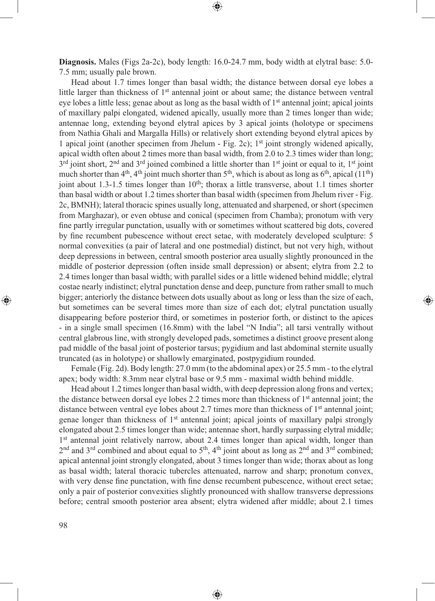**Diagnosis.** Males (Figs 2a-2c), body length: 16.0-24.7 mm, body width at elytral base: 5.0- 7.5 mm; usually pale brown.

⊕

Head about 1.7 times longer than basal width; the distance between dorsal eye lobes a little larger than thickness of  $1<sup>st</sup>$  antennal joint or about same; the distance between ventral eye lobes a little less; genae about as long as the basal width of  $1<sup>st</sup>$  antennal joint; apical joints of maxillary palpi elongated, widened apically, usually more than 2 times longer than wide; antennae long, extending beyond elytral apices by 3 apical joints (holotype or specimens from Nathia Ghali and Margalla Hills) or relatively short extending beyond elytral apices by 1 apical joint (another specimen from Jhelum - Fig. 2c); 1st joint strongly widened apically, apical width often about 2 times more than basal width, from 2.0 to 2.3 times wider than long;  $3<sup>rd</sup>$  joint short,  $2<sup>nd</sup>$  and  $3<sup>rd</sup>$  joined combined a little shorter than  $1<sup>st</sup>$  joint or equal to it,  $1<sup>st</sup>$  joint much shorter than  $4<sup>th</sup>$ ,  $4<sup>th</sup>$  joint much shorter than  $5<sup>th</sup>$ , which is about as long as  $6<sup>th</sup>$ , apical (11<sup>th</sup>) joint about  $1.3$ -1.5 times longer than  $10<sup>th</sup>$ ; thorax a little transverse, about 1.1 times shorter than basal width or about 1.2 times shorter than basal width (specimen from Jhelum river - Fig. 2c, BMNH); lateral thoracic spines usually long, attenuated and sharpened, or short (specimen from Marghazar), or even obtuse and conical (specimen from Chamba); pronotum with very fine partly irregular punctation, usually with or sometimes without scattered big dots, covered by fine recumbent pubescence without erect setae, with moderately developed sculpture: 5 normal convexities (a pair of lateral and one postmedial) distinct, but not very high, without deep depressions in between, central smooth posterior area usually slightly pronounced in the middle of posterior depression (often inside small depression) or absent; elytra from 2.2 to 2.4 times longer than basal width; with parallel sides or a little widened behind middle; elytral costae nearly indistinct; elytral punctation dense and deep, puncture from rather small to much bigger; anteriorly the distance between dots usually about as long or less than the size of each, but sometimes can be several times more than size of each dot; elytral punctation usually disappearing before posterior third, or sometimes in posterior forth, or distinct to the apices - in a single small specimen (16.8mm) with the label "N India"; all tarsi ventrally without central glabrous line, with strongly developed pads, sometimes a distinct groove present along pad middle of the basal joint of posterior tarsus; pygidium and last abdominal sternite usually truncated (as in holotype) or shallowly emarginated, postpygidium rounded.

⊕

Female (Fig. 2d). Body length: 27.0 mm (to the abdominal apex) or 25.5 mm - to the elytral apex; body width: 8.3mm near elytral base or 9.5 mm - maximal width behind middle.

Head about 1.2 times longer than basal width, with deep depression along frons and vertex; the distance between dorsal eye lobes 2.2 times more than thickness of  $1<sup>st</sup>$  antennal joint; the distance between ventral eye lobes about 2.7 times more than thickness of  $1<sup>st</sup>$  antennal joint; genae longer than thickness of  $1<sup>st</sup>$  antennal joint; apical joints of maxillary palpi strongly elongated about 2.5 times longer than wide; antennae short, hardly surpassing elytral middle; 1st antennal joint relatively narrow, about 2.4 times longer than apical width, longer than 2<sup>nd</sup> and 3<sup>rd</sup> combined and about equal to 5<sup>th</sup>, 4<sup>th</sup> joint about as long as 2<sup>nd</sup> and 3<sup>rd</sup> combined; apical antennal joint strongly elongated, about 3 times longer than wide; thorax about as long as basal width; lateral thoracic tubercles attenuated, narrow and sharp; pronotum convex, with very dense fine punctation, with fine dense recumbent pubescence, without erect setae; only a pair of posterior convexities slightly pronounced with shallow transverse depressions before; central smooth posterior area absent; elytra widened after middle; about 2.1 times

◈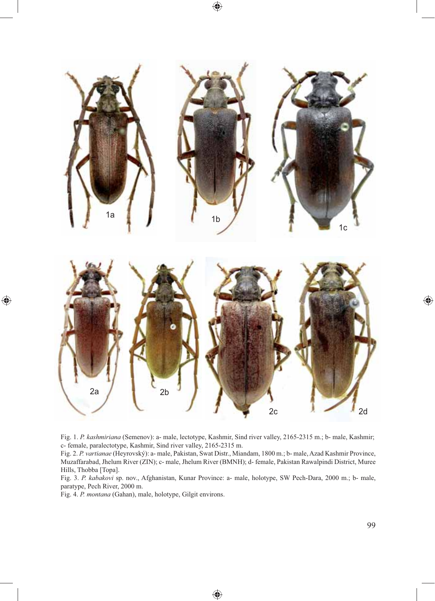

 $\bigoplus$ 

Fig. 1. *P. kashmiriana* (Semenov): a- male, lectotype, Kashmir, Sind river valley, 2165-2315 m.; b- male, Kashmir; c- female, paralectotype, Kashmir, Sind river valley, 2165-2315 m.

Fig. 2. *P. vartianae* (Heyrovský): a- male, Pakistan, Swat Distr., Miandam, 1800 m.; b- male, Azad Kashmir Province, Muzaffarabad, Jhelum River (ZIN); с- male, Jhelum River (BMNH); d- female, Pakistan Rawalpindi District, Muree Hills, Thobba [Topa].

Fig. 3. *P. kabakovi* sp. nov., Afghanistan, Kunar Province: a- male, holotype, SW Pech-Dara, 2000 m.; b- male, paratype, Pech River, 2000 m.

◈

Fig. 4. *P. montana* (Gahan), male, holotype, Gilgit environs.

 $\bigoplus$ 

 $\bigoplus$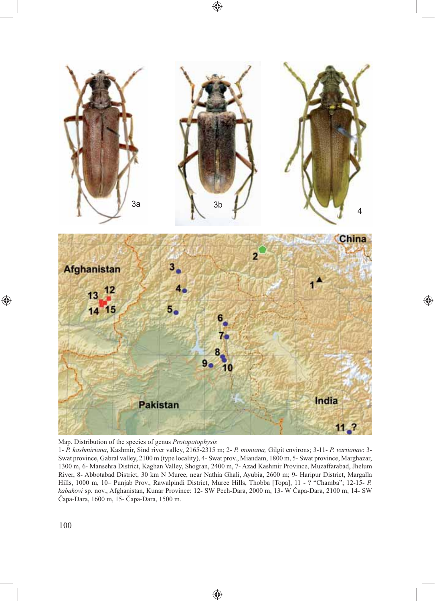

 $\bigoplus$ 

 $\bigoplus$ 

Map. Distribution of the species of genus *Protapatophysis*

1- *P. kashmiriana*, Kashmir, Sind river valley, 2165-2315 m; 2- *P. montana,* Gilgit environs; 3-11- *P. vartianae*: 3- Swat province, Gabral valley, 2100 m (type locality), 4- Swat prov., Miandam, 1800 m, 5- Swat province, Marghazar, 1300 m, 6- Mansehra District, Kaghan Valley, Shogran, 2400 m, 7- Azad Kashmir Province, Muzaffarabad, Jhelum River, 8- Abbotabad District, 30 km N Muree, near Nathia Ghali, Ayubia, 2600 m; 9- Haripur District, Margalla Hills, 1000 m, 10– Punjab Prov., Rawalpindi District, Muree Hills, Thobba [Topa], 11 - ? "Chamba"; 12-15- *P. kabakovi* sp. nov., Afghanistan, Kunar Province: 12- SW Pech-Dara, 2000 m, 13- W Čapa-Dara, 2100 m, 14- SW Čapa-Dara, 1600 m, 15- Čapa-Dara, 1500 m.

♠

 $\bigoplus$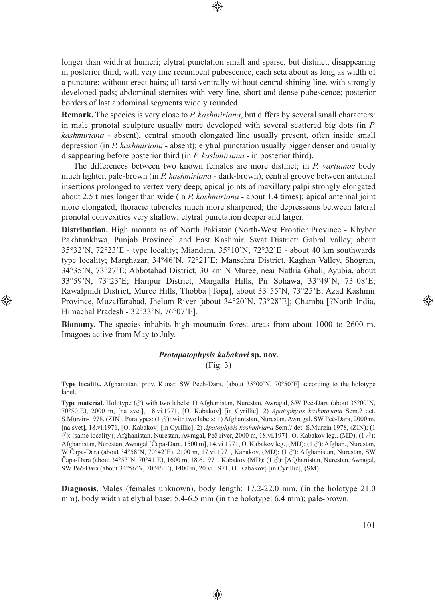longer than width at humeri; elytral punctation small and sparse, but distinct, disappearing in posterior third; with very fine recumbent pubescence, each seta about as long as width of a puncture; without erect hairs; all tarsi ventrally without central shining line, with strongly developed pads; abdominal sternites with very fine, short and dense pubescence; posterior borders of last abdominal segments widely rounded.

⊕

**Remark.** The species is very close to *P. kashmiriana*, but differs by several small characters: in male pronotal sculpture usually more developed with several scattered big dots (in *P. kashmiriana -* absent), central smooth elongated line usually present, often inside small depression (in *P. kashmiriana -* absent); elytral punctation usually bigger denser and usually disappearing before posterior third (in *P. kashmiriana -* in posterior third).

The differences between two known females are more distinct; in *P. vartianae* body much lighter, pale-brown (in *P. kashmiriana* - dark-brown); central groove between antennal insertions prolonged to vertex very deep; apical joints of maxillary palpi strongly elongated about 2.5 times longer than wide (in *P. kashmiriana* - about 1.4 times); apical antennal joint more elongated; thoracic tubercles much more sharpened; the depressions between lateral pronotal convexities very shallow; elytral punctation deeper and larger.

**Distribution.** High mountains of North Pakistan (North-West Frontier Province - Khyber Pakhtunkhwa, Punjab Province] and East Kashmir. Swat District: Gabral valley, about  $35^{\circ}32^{\prime}$ N,  $72^{\circ}23^{\prime}$ E - type locality; Miandam,  $35^{\circ}10^{\prime}$ N,  $72^{\circ}32^{\prime}$ E - about 40 km southwards type locality; Marghazar, 34°46'N, 72°21'E; Mansehra District, Kaghan Valley, Shogran, 34°35'N, 73°27'E; Abbotabad District, 30 km N Muree, near Nathia Ghali, Ayubia, about 33°59'N, 73°23'E; Haripur District, Margalla Hills, Pir Sohawa, 33°49'N, 73°08'E; Rawalpindi District, Muree Hills, Thobba [Topa], about 33°55'N, 73°25'E; Azad Kashmir Province, Muzaffarabad, Jhelum River [about 34°20'N, 73°28'E]; Chamba [?North India, Himachal Pradesh - 32°33'N, 76°07'E].

**Bionomy.** The species inhabits high mountain forest areas from about 1000 to 2600 m. Imagoes active from May to July.

⊕

### *Protapatophysis kabakovi* **sp. nov.**  (Fig. 3)

**Type locality.** Afghanistan, prov. Kunar, SW Pech-Dara, [about 35°00'N, 70°50'E] according to the holotype label.

**Type material.** Holotype (♂) with two labels: 1) Afghanistan, Nurestan, Awragal, SW Peč-Dara (about 35°00'N, 70°50'E), 2000 m, [na svet], 18.vi.1971, [O. Kabakov] [in Cyrillic], 2) *Apatophysis kashmiriana* Sem.? det. S.Murzin-1978, (ZIN). Paratypes: (1 ♂): with two labels: 1) Afghanistan, Nurestan, Awragal, SW Peč-Dara, 2000 m, [na svet], 18.vi.1971, [O. Kabakov] [in Cyrillic], 2) *Apatophysis kashmiriana* Sem.? det. S.Murzin 1978, (ZIN); (1  $\Diamond$ ): (same locality}, Afghanistan, Nurestan, Awragal, Peč river, 2000 m, 18.vi.1971, O. Kabakov leg., (MD); (1 $\Diamond$ ): Afghanistan, Nurestan, Awragal [Čapa-Dara, 1500 m], 14.vi.1971, O. Kabakov leg., (MD); (1 ♂): Afghan., Nurestan, W Čapa-Dara (about 34°58'N, 70°42'E), 2100 m, 17.vi.1971, Kabakov, (MD); (1 ♂): Afghanistan, Nurestan, SW Čapa-Dara (about 34°53'N, 70°41'E), 1600 m, 18.6.1971, Kabakov (MD); (1 ♂): [Afghanistan, Nurestan, Awragal, SW Peč-Dara (about 34°56'N, 70°46'E), 1400 m, 20.vi.1971, O. Kabakov] [in Cyrillic], (SM).

**Diagnosis.** Males (females unknown), body length: 17.2-22.0 mm, (in the holotype 21.0 mm), body width at elytral base: 5.4-6.5 mm (in the holotype: 6.4 mm); pale-brown.

◈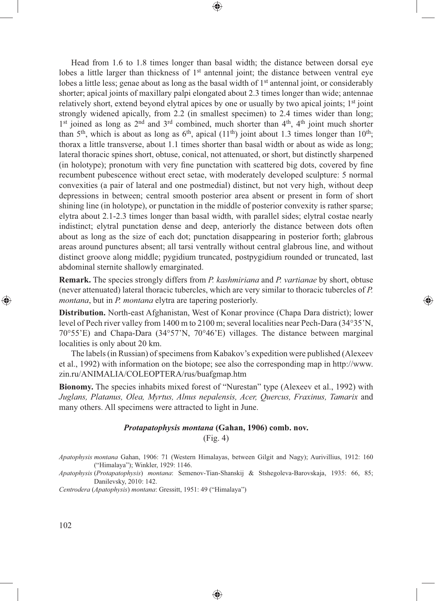Head from 1.6 to 1.8 times longer than basal width; the distance between dorsal eye lobes a little larger than thickness of  $1<sup>st</sup>$  antennal joint; the distance between ventral eve lobes a little less; genae about as long as the basal width of  $1<sup>st</sup>$  antennal joint, or considerably shorter; apical joints of maxillary palpi elongated about 2.3 times longer than wide; antennae relatively short, extend beyond elytral apices by one or usually by two apical joints;  $1<sup>st</sup>$  joint strongly widened apically, from 2.2 (in smallest specimen) to 2.4 times wider than long;  $1<sup>st</sup>$  joined as long as  $2<sup>nd</sup>$  and  $3<sup>rd</sup>$  combined, much shorter than  $4<sup>th</sup>$ ,  $4<sup>th</sup>$  joint much shorter than  $5<sup>th</sup>$ , which is about as long as  $6<sup>th</sup>$ , apical (11<sup>th</sup>) joint about 1.3 times longer than 10<sup>th</sup>; thorax a little transverse, about 1.1 times shorter than basal width or about as wide as long; lateral thoracic spines short, obtuse, conical, not attenuated, or short, but distinctly sharpened (in holotype); pronotum with very fine punctation with scattered big dots, covered by fine recumbent pubescence without erect setae, with moderately developed sculpture: 5 normal convexities (a pair of lateral and one postmedial) distinct, but not very high, without deep depressions in between; central smooth posterior area absent or present in form of short shining line (in holotype), or punctation in the middle of posterior convexity is rather sparse; elytra about 2.1-2.3 times longer than basal width, with parallel sides; elytral costae nearly indistinct; elytral punctation dense and deep, anteriorly the distance between dots often about as long as the size of each dot; punctation disappearing in posterior forth; glabrous areas around punctures absent; all tarsi ventrally without central glabrous line, and without distinct groove along middle; pygidium truncated, postpygidium rounded or truncated, last abdominal sternite shallowly emarginated.

⊕

**Remark.** The species strongly differs from *P. kashmiriana* and *P. vartianae* by short, obtuse (never attenuated) lateral thoracic tubercles, which are very similar to thoracic tubercles of *P. montana*, but in *P. montana* elytra are tapering posteriorly.

⊕

**Distribution.** North-east Afghanistan, West of Konar province (Chapa Dara district); lower level of Pech river valley from 1400 m to 2100 m; several localities near Pech-Dara (34°35'N, 70°55'E) and Chapa-Dara (34°57'N, 70°46'E) villages. The distance between marginal localities is only about 20 km.

The labels (in Russian) of specimens from Kabakov's expedition were published (Alexeev et al., 1992) with information on the biotope; see also the corresponding map in http://www. zin.ru/ANIMALIA/COLEOPTERA/rus/buafgmap.htm

**Bionomy.** The species inhabits mixed forest of "Nurestan" type (Alexeev et al., 1992) with *Juglans, Platanus, Olea, Myrtus, Alnus nepalensis, Acer, Quercus, Fraxinus, Tamarix* and many others. All specimens were attracted to light in June.

## *Protapatophysis montana* **(Gahan, 1906) comb. nov.**  (Fig. 4)

*Apatophysis montana* Gahan, 1906: 71 (Western Himalayas, between Gilgit and Nagy); Aurivillius, 1912: 160 ("Himalaya"); Winkler, 1929: 1146.

*Apatophysis* (*Protapatophysis*) *montana*: Semenov-Tian-Shanskij & Stshegoleva-Barovskaja, 1935: 66, 85; Danilevsky, 2010: 142.

◈

*Centrodera* (*Apatophysis*) *montana*: Gressitt, 1951: 49 ("Himalaya")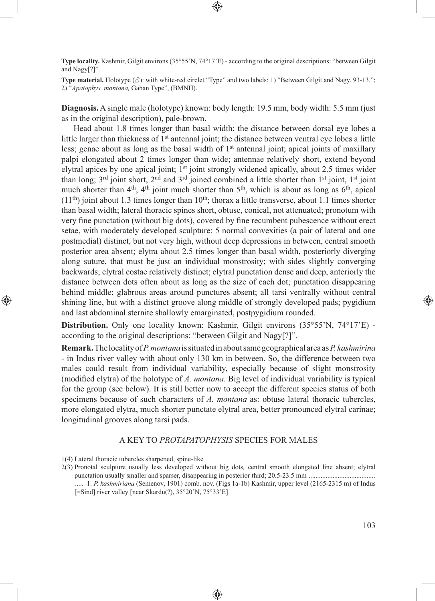**Type locality.** Kashmir, Gilgit environs (35°55'N, 74°17'E) - according to the original descriptions: "between Gilgit and Nagy[?]".

**Type material.** Holotype  $(\text{?})$ : with white-red circlet "Type" and two labels: 1) "Between Gilgit and Nagy. 93-13."; 2) "*Apatophys. montana,* Gahan Type", (BMNH).

**Diagnosis.** A single male (holotype) known: body length: 19.5 mm, body width: 5.5 mm (just as in the original description), pale-brown.

Head about 1.8 times longer than basal width; the distance between dorsal eye lobes a little larger than thickness of 1<sup>st</sup> antennal joint; the distance between ventral eye lobes a little less; genae about as long as the basal width of  $1<sup>st</sup>$  antennal joint; apical joints of maxillary palpi elongated about 2 times longer than wide; antennae relatively short, extend beyond elytral apices by one apical joint; 1<sup>st</sup> joint strongly widened apically, about 2.5 times wider than long; 3rd joint short, 2nd and 3rd joined combined a little shorter than 1st joint, 1st joint much shorter than  $4<sup>th</sup>$ ,  $4<sup>th</sup>$  joint much shorter than  $5<sup>th</sup>$ , which is about as long as  $6<sup>th</sup>$ , apical  $(11<sup>th</sup>)$  joint about 1.3 times longer than  $10<sup>th</sup>$ ; thorax a little transverse, about 1.1 times shorter than basal width; lateral thoracic spines short, obtuse, conical, not attenuated; pronotum with very fine punctation (without big dots), covered by fine recumbent pubescence without erect setae, with moderately developed sculpture: 5 normal convexities (a pair of lateral and one postmedial) distinct, but not very high, without deep depressions in between, central smooth posterior area absent; elytra about 2.5 times longer than basal width, posteriorly diverging along suture, that must be just an individual monstrosity; with sides slightly converging backwards; elytral costae relatively distinct; elytral punctation dense and deep, anteriorly the distance between dots often about as long as the size of each dot; punctation disappearing behind middle; glabrous areas around punctures absent; all tarsi ventrally without central shining line, but with a distinct groove along middle of strongly developed pads; pygidium and last abdominal sternite shallowly emarginated, postpygidium rounded.

**Distribution.** Only one locality known: Kashmir, Gilgit environs (35°55'N, 74°17'E) according to the original descriptions: "between Gilgit and Nagy[?]".

**Remark.** The locality of *P. montana* is situated in about same geographical area as *P. kashmirina -* in Indus river valley with about only 130 km in between. So, the difference between two males could result from individual variability, especially because of slight monstrosity (modified elytra) of the holotype of *A. montana*. Big level of individual variability is typical for the group (see below). It is still better now to accept the different species status of both specimens because of such characters of *A. montana* as: obtuse lateral thoracic tubercles, more elongated elytra, much shorter punctate elytral area, better pronounced elytral carinae; longitudinal grooves along tarsi pads.

### A KEY TO *PROTAPATOPHYSIS* SPECIES FOR MALES

⊕

◈

<sup>1(4)</sup> Lateral thoracic tubercles sharpened, spine-like

<sup>2(3)</sup> Pronotal sculpture usually less developed without big dots*,* central smooth elongated line absent; elytral punctation usually smaller and sparser, disappearing in posterior third; 20.5-23.5 mm ....................................... ..... 1. *P. kashmiriana* (Semenov, 1901) comb. nov. (Figs 1a-1b) Kashmir, upper level (2165-2315 m) of Indus [=Sind] river valley [near Skardu(?), 35°20'N, 75°33'E]